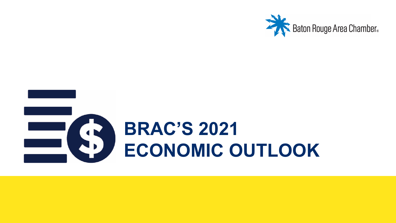

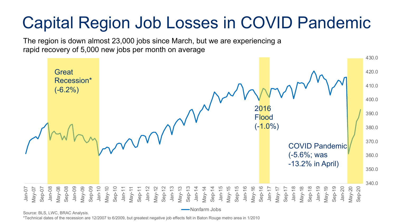# Capital Region Job Losses in COVID Pandemic

The region is down almost 23,000 jobs since March, but we are experiencing a rapid recovery of 5,000 new jobs per month on average



Source: BLS, LWC, BRAC Analysis.

Nonfarm Jobs

\*Technical dates of the recession are 12/2007 to 6/2009, but greatest negative job effects felt in Baton Rouge metro area in 1/2010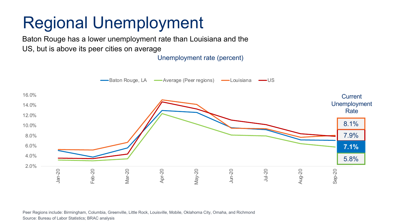### Regional Unemployment

Baton Rouge has a lower unemployment rate than Louisiana and the US, but is above its peer cities on average

Unemployment rate (percent)



Peer Regions include: Birmingham, Columbia, Greenville, Little Rock, Louisville, Mobile, Oklahoma City, Omaha, and Richmond Source: Bureau of Labor Statistics; BRAC analysis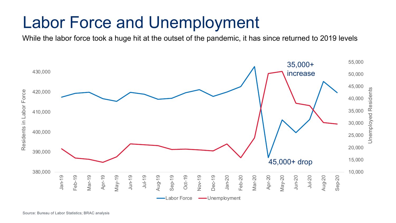#### Labor Force and Unemployment

While the labor force took a huge hit at the outset of the pandemic, it has since returned to 2019 levels

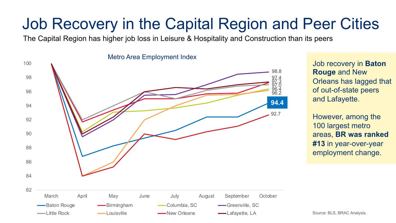#### Job Recovery in the Capital Region and Peer Cities

The Capital Region has higher job loss in Leisure & Hospitality and Construction than its peers



Metro Area Employment Index

Job recovery in **Baton Rouge** and New Orleans has lagged that of out-of-state peers and Lafayette.

However, among the 100 largest metro areas, **BR was ranked #13** in year-over-year employment change.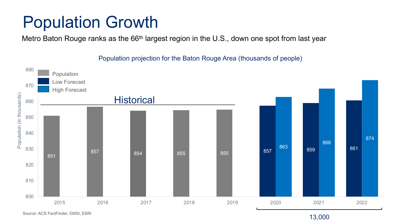#### Population Growth

Metro Baton Rouge ranks as the 66<sup>th</sup> largest region in the U.S., down one spot from last year

Population projection for the Baton Rouge Area (thousands of people)



Source: ACS FactFinder; EMSI; ESRI

13,000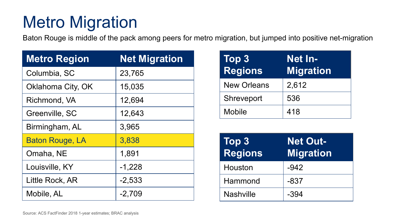# Metro Migration

Baton Rouge is middle of the pack among peers for metro migration, but jumped into positive net-migration

| <b>Metro Region</b>    | <b>Net Migration</b> |  |
|------------------------|----------------------|--|
| Columbia, SC           | 23,765               |  |
| Oklahoma City, OK      | 15,035               |  |
| Richmond, VA           | 12,694               |  |
| Greenville, SC         | 12,643               |  |
| Birmingham, AL         | 3,965                |  |
| <b>Baton Rouge, LA</b> | 3,838                |  |
| Omaha, NE              | 1,891                |  |
| Louisville, KY         | $-1,228$             |  |
| Little Rock, AR        | $-2,533$             |  |
| Mobile, AL             | -2,709               |  |

| Top 3<br><b>Regions</b> | Net In-<br><b>Migration</b> |  |
|-------------------------|-----------------------------|--|
| <b>New Orleans</b>      | 2,612                       |  |
| Shreveport              | 536                         |  |
| <b>Mobile</b>           | 418                         |  |

| Top 3<br><b>Regions</b> | <b>Net Out-</b><br><b>Migration</b> |
|-------------------------|-------------------------------------|
| Houston                 | $-942$                              |
| Hammond                 | $-837$                              |
| <b>Nashville</b>        | $-394$                              |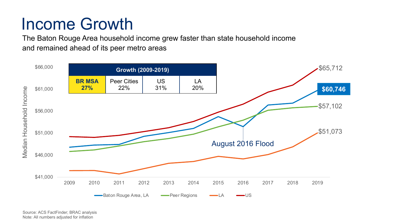#### Income Growth

The Baton Rouge Area household income grew faster than state household income and remained ahead of its peer metro areas



Source: ACS FactFinder; BRAC analysis Note: All numbers adjusted for inflation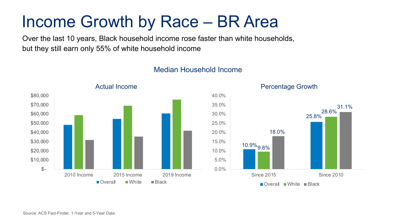#### Income Growth by Race – BR Area

Over the last 10 years, Black household income rose faster than white households, but they still earn only 55% of white household income



#### Median Household Income



Source: ACS Fact-Finder, 1-Year and 5-Year Data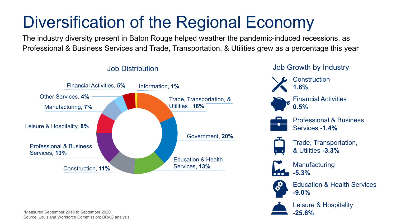# Diversification of the Regional Economy

The industry diversity present in Baton Rouge helped weather the pandemic-induced recessions, as Professional & Business Services and Trade, Transportation, & Utilities grew as a percentage this year



\*Measured September 2019 to September 2020 Source: Louisiana Workforce Commission; BRAC analysis

#### Job Distribution Job Growth by Industry









Professional & Business Services **-1.4%**



Trade, Transportation, & Utilities **-3.3%**



**Manufacturing -5.3%**



Education & Health Services **-9.0%**



Leisure & Hospitality **-25.6%**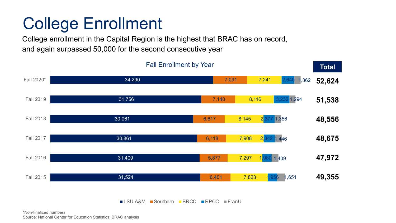#### College Enrollment

College enrollment in the Capital Region is the highest that BRAC has on record, and again surpassed 50,000 for the second consecutive year



■LSU A&M ■Southern ■BRCC ■RPCC ■FranU

**Total** Fall Enrollment by Year **Total Total** 

\*Non-finalized numbers Source: National Center for Education Statistics; BRAC analysis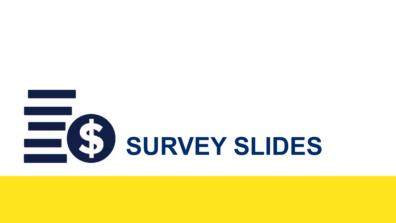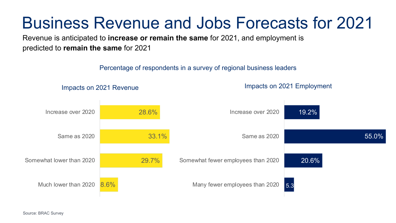#### Business Revenue and Jobs Forecasts for 2021

Revenue is anticipated to **increase or remain the same** for 2021, and employment is predicted to **remain the same** for 2021

Percentage of respondents in a survey of regional business leaders

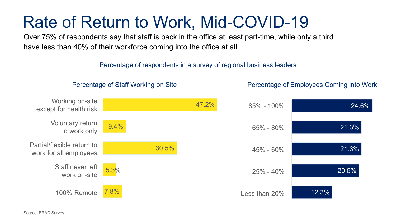#### Rate of Return to Work, Mid-COVID-19

Over 75% of respondents say that staff is back in the office at least part-time, while only a third have less than 40% of their workforce coming into the office at all

Percentage of respondents in a survey of regional business leaders

Percentage of Employees Coming into Work



Percentage of Staff Working on Site

Source: BRAC Survey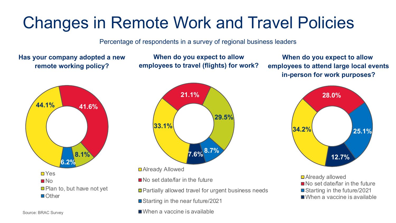#### Changes in Remote Work and Travel Policies

Percentage of respondents in a survey of regional business leaders

**Has your company adopted a new remote working policy?** 

**When do you expect to allow employees to travel (flights) for work?**

**When do you expect to allow employees to attend large local events in-person for work purposes?** 





■ Already Allowed

No set date/far in the future

■ Partially allowed travel for urgent business needs

■ Starting in the near future/2021

When a vaccine is available



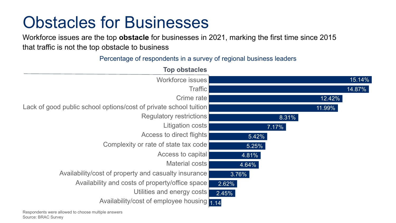#### Obstacles for Businesses

Workforce issues are the top **obstacle** for businesses in 2021, marking the first time since 2015 that traffic is not the top obstacle to business

#### Percentage of respondents in a survey of regional business leaders

| <b>Top obstacles</b>                                              |        |
|-------------------------------------------------------------------|--------|
| <b>Workforce issues</b>                                           | 15.14% |
| <b>Traffic</b>                                                    | 14.87% |
| Crime rate                                                        | 12.42% |
| Lack of good public school options/cost of private school tuition | 11.99% |
| <b>Regulatory restrictions</b>                                    | 8.31%  |
| <b>Litigation costs</b>                                           | 7.17%  |
| Access to direct flights                                          | 5.42%  |
| Complexity or rate of state tax code                              | 5.25%  |
| Access to capital                                                 | 4.81%  |
| <b>Material costs</b>                                             | 4.64%  |
| Availability/cost of property and casualty insurance              | 3.76%  |
| Availability and costs of property/office space                   | 2.62%  |
| Utilities and energy costs                                        | 2.45%  |
| Availability/cost of employee housing 1.14                        |        |

Respondents were allowed to choose multiple answers Source: BRAC Survey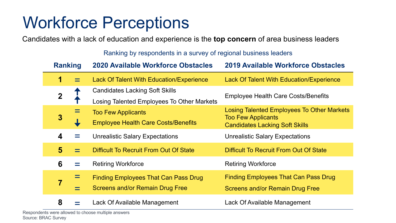#### Workforce Perceptions

Candidates with a lack of education and experience is the **top concern** of area business leaders

Ranking by respondents in a survey of regional business leaders

| <b>Ranking</b>          |  | <b>2020 Available Workforce Obstacles</b>       | <b>2019 Available Workforce Obstacles</b>                          |
|-------------------------|--|-------------------------------------------------|--------------------------------------------------------------------|
| 1                       |  | <b>Lack Of Talent With Education/Experience</b> | <b>Lack Of Talent With Education/Experience</b>                    |
| $\mathbf 2$             |  | <b>Candidates Lacking Soft Skills</b>           | <b>Employee Health Care Costs/Benefits</b>                         |
|                         |  | Losing Talented Employees To Other Markets      |                                                                    |
|                         |  | <b>Too Few Applicants</b>                       | <b>Losing Talented Employees To Other Markets</b>                  |
| 3                       |  | <b>Employee Health Care Costs/Benefits</b>      | <b>Too Few Applicants</b><br><b>Candidates Lacking Soft Skills</b> |
|                         |  |                                                 |                                                                    |
| $\boldsymbol{4}$        |  | <b>Unrealistic Salary Expectations</b>          | <b>Unrealistic Salary Expectations</b>                             |
| $\overline{\mathbf{5}}$ |  | <b>Difficult To Recruit From Out Of State</b>   | <b>Difficult To Recruit From Out Of State</b>                      |
| 6                       |  | <b>Retiring Workforce</b>                       | <b>Retiring Workforce</b>                                          |
|                         |  | <b>Finding Employees That Can Pass Drug</b>     | <b>Finding Employees That Can Pass Drug</b>                        |
|                         |  | <b>Screens and/or Remain Drug Free</b>          | <b>Screens and/or Remain Drug Free</b>                             |
| 8                       |  | Lack Of Available Management                    | Lack Of Available Management                                       |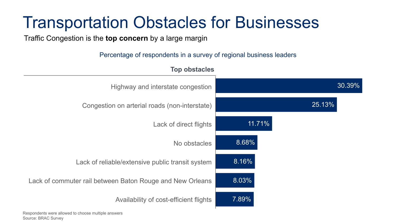#### Transportation Obstacles for Businesses

Traffic Congestion is the **top concern** by a large margin

Percentage of respondents in a survey of regional business leaders



Respondents were allowed to choose multiple answers Source: BRAC Survey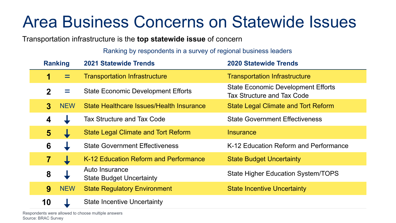#### Area Business Concerns on Statewide Issues

Transportation infrastructure is the **top statewide issue** of concern

Ranking by respondents in a survey of regional business leaders

| <b>Ranking</b> |            | <b>2021 Statewide Trends</b>                      | <b>2020 Statewide Trends</b>                                                   |
|----------------|------------|---------------------------------------------------|--------------------------------------------------------------------------------|
| 1              |            | <b>Transportation Infrastructure</b>              | <b>Transportation Infrastructure</b>                                           |
| $\mathbf{2}$   | $=$        | <b>State Economic Development Efforts</b>         | <b>State Economic Development Efforts</b><br><b>Tax Structure and Tax Code</b> |
| $\bf{3}$       | <b>NEW</b> | State Healthcare Issues/Health Insurance          | <b>State Legal Climate and Tort Reform</b>                                     |
| 4              |            | <b>Tax Structure and Tax Code</b>                 | <b>State Government Effectiveness</b>                                          |
| 5 <sub>5</sub> |            | <b>State Legal Climate and Tort Reform</b>        | <b>Insurance</b>                                                               |
| 6              |            | <b>State Government Effectiveness</b>             | K-12 Education Reform and Performance                                          |
| 7              |            | K-12 Education Reform and Performance             | <b>State Budget Uncertainty</b>                                                |
| 8              |            | Auto Insurance<br><b>State Budget Uncertainty</b> | <b>State Higher Education System/TOPS</b>                                      |
| 9              | <b>NEW</b> | <b>State Regulatory Environment</b>               | <b>State Incentive Uncertainty</b>                                             |
| 10             |            | <b>State Incentive Uncertainty</b>                |                                                                                |

Respondents were allowed to choose multiple answers Source: BRAC Survey